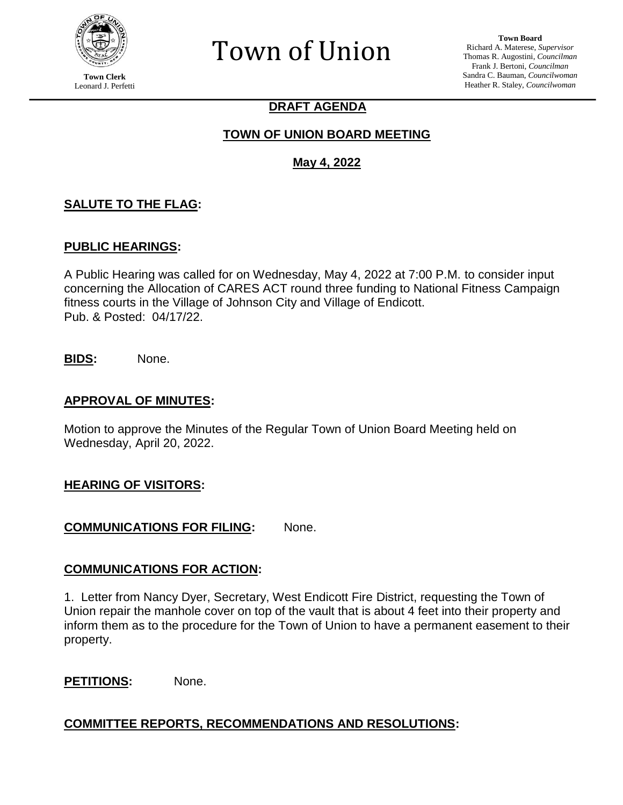

**Town Clerk** Leonard J. Perfetti Town of Union

**Town Board** Richard A. Materese, *Supervisor* Thomas R. Augostini, *Councilman* Frank J. Bertoni, *Councilman* Sandra C. Bauman, *Councilwoman* Heather R. Staley, *Councilwoman*

# **DRAFT AGENDA**

# **TOWN OF UNION BOARD MEETING**

## **May 4, 2022**

## **SALUTE TO THE FLAG:**

#### **PUBLIC HEARINGS:**

A Public Hearing was called for on Wednesday, May 4, 2022 at 7:00 P.M. to consider input concerning the Allocation of CARES ACT round three funding to National Fitness Campaign fitness courts in the Village of Johnson City and Village of Endicott. Pub. & Posted: 04/17/22.

**BIDS:** None.

#### **APPROVAL OF MINUTES:**

Motion to approve the Minutes of the Regular Town of Union Board Meeting held on Wednesday, April 20, 2022.

#### **HEARING OF VISITORS:**

**COMMUNICATIONS FOR FILING:** None.

#### **COMMUNICATIONS FOR ACTION:**

1. Letter from Nancy Dyer, Secretary, West Endicott Fire District, requesting the Town of Union repair the manhole cover on top of the vault that is about 4 feet into their property and inform them as to the procedure for the Town of Union to have a permanent easement to their property.

PETITIONS: None.

## **COMMITTEE REPORTS, RECOMMENDATIONS AND RESOLUTIONS:**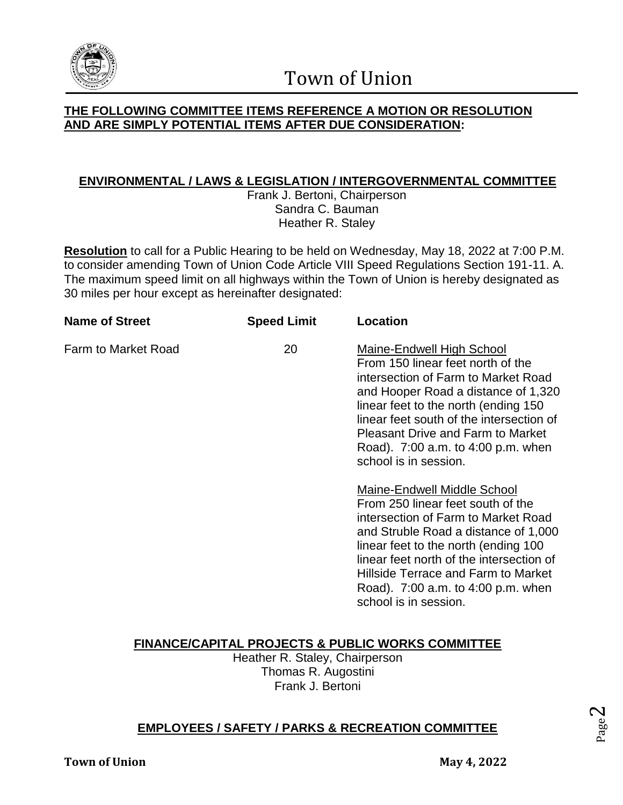

## **THE FOLLOWING COMMITTEE ITEMS REFERENCE A MOTION OR RESOLUTION AND ARE SIMPLY POTENTIAL ITEMS AFTER DUE CONSIDERATION:**

#### **ENVIRONMENTAL / LAWS & LEGISLATION / INTERGOVERNMENTAL COMMITTEE**

Frank J. Bertoni, Chairperson Sandra C. Bauman Heather R. Staley

**Resolution** to call for a Public Hearing to be held on Wednesday, May 18, 2022 at 7:00 P.M. to consider amending Town of Union Code Article VIII Speed Regulations Section 191-11. A. The maximum speed limit on all highways within the Town of Union is hereby designated as 30 miles per hour except as hereinafter designated:

| <b>Name of Street</b>      | <b>Speed Limit</b> | Location                                                                                                                                                                                                                                                                                                                                     |
|----------------------------|--------------------|----------------------------------------------------------------------------------------------------------------------------------------------------------------------------------------------------------------------------------------------------------------------------------------------------------------------------------------------|
| <b>Farm to Market Road</b> | 20                 | Maine-Endwell High School<br>From 150 linear feet north of the<br>intersection of Farm to Market Road<br>and Hooper Road a distance of 1,320<br>linear feet to the north (ending 150)<br>linear feet south of the intersection of<br><b>Pleasant Drive and Farm to Market</b><br>Road). 7:00 a.m. to 4:00 p.m. when<br>school is in session. |
|                            |                    | Maine-Endwell Middle School<br>From 250 linear feet south of the<br>intersection of Farm to Market Road<br>and Struble Road a distance of 1,000<br>linear feet to the north (ending 100)<br>linear feet north of the intersection of<br>Hillside Terrace and Farm to Market<br>Road). 7:00 a.m. to 4:00 p.m. when                            |

## **FINANCE/CAPITAL PROJECTS & PUBLIC WORKS COMMITTEE**

Heather R. Staley, Chairperson Thomas R. Augostini Frank J. Bertoni

## **EMPLOYEES / SAFETY / PARKS & RECREATION COMMITTEE**

school is in session.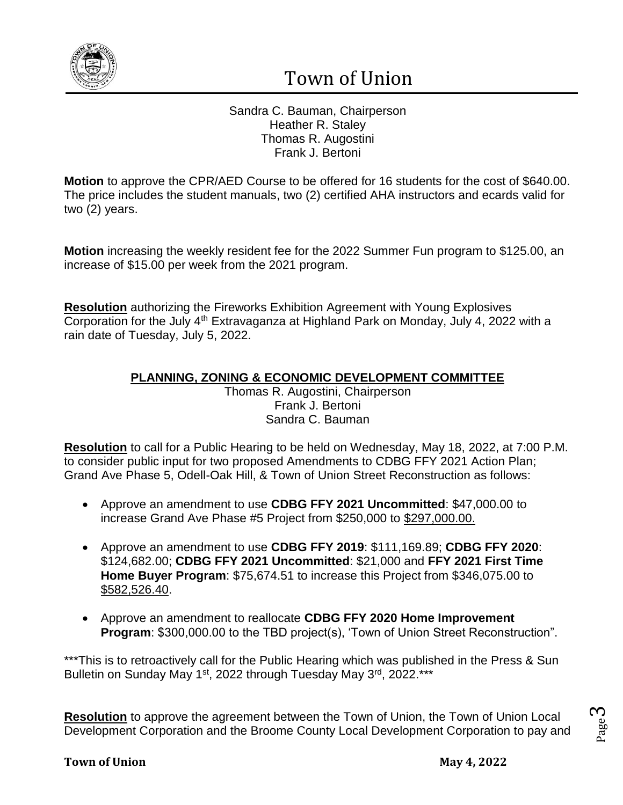

# Town of Union

Sandra C. Bauman, Chairperson Heather R. Staley Thomas R. Augostini Frank J. Bertoni

**Motion** to approve the CPR/AED Course to be offered for 16 students for the cost of \$640.00. The price includes the student manuals, two (2) certified AHA instructors and ecards valid for two (2) years.

**Motion** increasing the weekly resident fee for the 2022 Summer Fun program to \$125.00, an increase of \$15.00 per week from the 2021 program.

**Resolution** authorizing the Fireworks Exhibition Agreement with Young Explosives Corporation for the July 4<sup>th</sup> Extravaganza at Highland Park on Monday, July 4, 2022 with a rain date of Tuesday, July 5, 2022.

# **PLANNING, ZONING & ECONOMIC DEVELOPMENT COMMITTEE**

Thomas R. Augostini, Chairperson Frank J. Bertoni Sandra C. Bauman

**Resolution** to call for a Public Hearing to be held on Wednesday, May 18, 2022, at 7:00 P.M. to consider public input for two proposed Amendments to CDBG FFY 2021 Action Plan; Grand Ave Phase 5, Odell-Oak Hill, & Town of Union Street Reconstruction as follows:

- Approve an amendment to use **CDBG FFY 2021 Uncommitted**: \$47,000.00 to increase Grand Ave Phase #5 Project from \$250,000 to \$297,000.00.
- Approve an amendment to use **CDBG FFY 2019**: \$111,169.89; **CDBG FFY 2020**: \$124,682.00; **CDBG FFY 2021 Uncommitted**: \$21,000 and **FFY 2021 First Time Home Buyer Program**: \$75,674.51 to increase this Project from \$346,075.00 to \$582,526.40.
- Approve an amendment to reallocate **CDBG FFY 2020 Home Improvement Program**: \$300,000.00 to the TBD project(s), 'Town of Union Street Reconstruction".

\*\*\*This is to retroactively call for the Public Hearing which was published in the Press & Sun Bulletin on Sunday May 1<sup>st</sup>, 2022 through Tuesday May 3<sup>rd</sup>, 2022.\*\*\*

**Resolution** to approve the agreement between the Town of Union, the Town of Union Local Development Corporation and the Broome County Local Development Corporation to pay and

$$
_{\rm Page}3
$$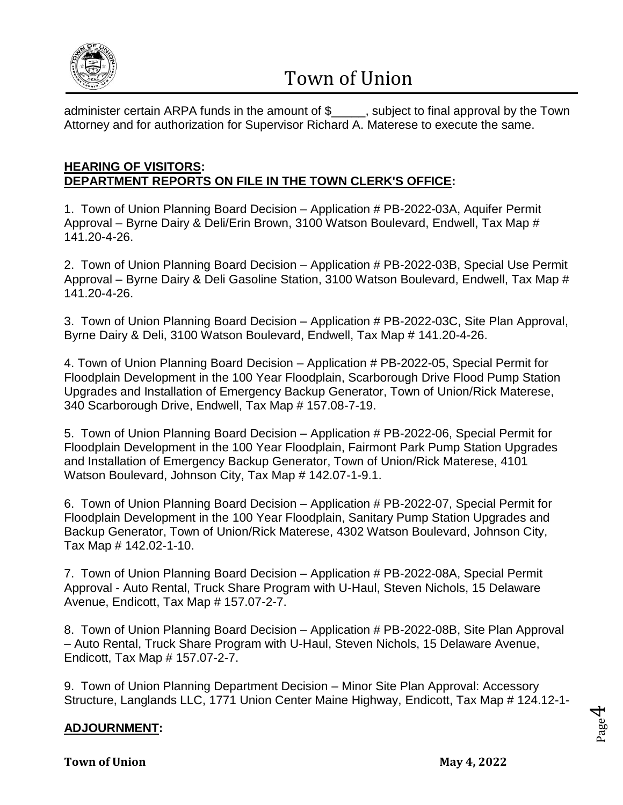

administer certain ARPA funds in the amount of \$\_\_\_\_\_, subject to final approval by the Town Attorney and for authorization for Supervisor Richard A. Materese to execute the same.

#### **HEARING OF VISITORS: DEPARTMENT REPORTS ON FILE IN THE TOWN CLERK'S OFFICE:**

1. Town of Union Planning Board Decision – Application # PB-2022-03A, Aquifer Permit Approval – Byrne Dairy & Deli/Erin Brown, 3100 Watson Boulevard, Endwell, Tax Map # 141.20-4-26.

2. Town of Union Planning Board Decision – Application # PB-2022-03B, Special Use Permit Approval – Byrne Dairy & Deli Gasoline Station, 3100 Watson Boulevard, Endwell, Tax Map # 141.20-4-26.

3. Town of Union Planning Board Decision – Application # PB-2022-03C, Site Plan Approval, Byrne Dairy & Deli, 3100 Watson Boulevard, Endwell, Tax Map # 141.20-4-26.

4. Town of Union Planning Board Decision – Application # PB-2022-05, Special Permit for Floodplain Development in the 100 Year Floodplain, Scarborough Drive Flood Pump Station Upgrades and Installation of Emergency Backup Generator, Town of Union/Rick Materese, 340 Scarborough Drive, Endwell, Tax Map # 157.08-7-19.

5. Town of Union Planning Board Decision – Application # PB-2022-06, Special Permit for Floodplain Development in the 100 Year Floodplain, Fairmont Park Pump Station Upgrades and Installation of Emergency Backup Generator, Town of Union/Rick Materese, 4101 Watson Boulevard, Johnson City, Tax Map # 142.07-1-9.1.

6. Town of Union Planning Board Decision – Application # PB-2022-07, Special Permit for Floodplain Development in the 100 Year Floodplain, Sanitary Pump Station Upgrades and Backup Generator, Town of Union/Rick Materese, 4302 Watson Boulevard, Johnson City, Tax Map # 142.02-1-10.

7. Town of Union Planning Board Decision – Application # PB-2022-08A, Special Permit Approval - Auto Rental, Truck Share Program with U-Haul, Steven Nichols, 15 Delaware Avenue, Endicott, Tax Map # 157.07-2-7.

8. Town of Union Planning Board Decision – Application # PB-2022-08B, Site Plan Approval – Auto Rental, Truck Share Program with U-Haul, Steven Nichols, 15 Delaware Avenue, Endicott, Tax Map # 157.07-2-7.

9. Town of Union Planning Department Decision – Minor Site Plan Approval: Accessory Structure, Langlands LLC, 1771 Union Center Maine Highway, Endicott, Tax Map # 124.12-1-

# **ADJOURNMENT:**

**Town of Union May 4, 2022** 

Page  $\overline{\mathcal{A}}$